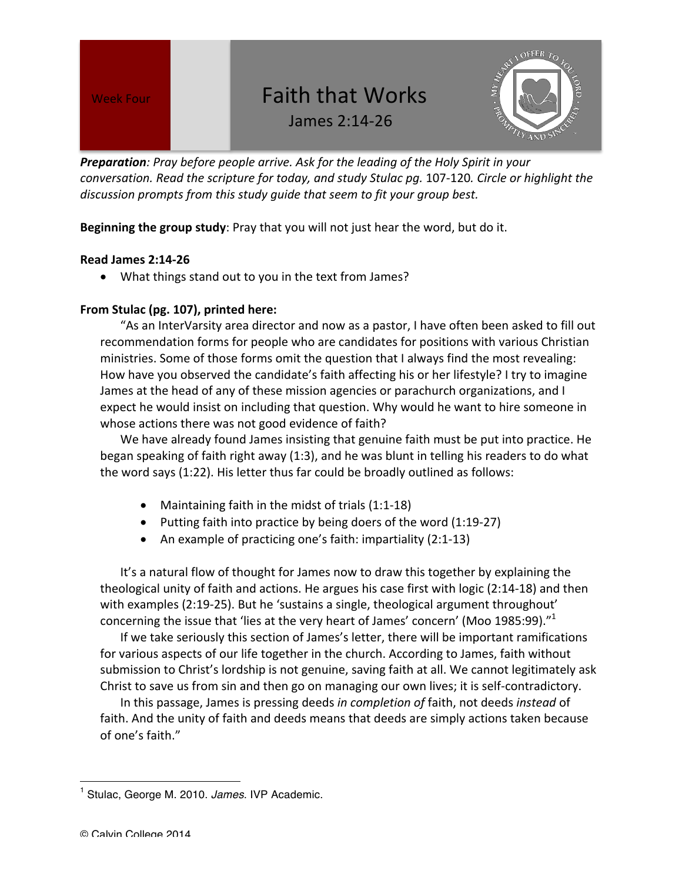# Week Four **Concept Lines Concept Faith that Works**





**Preparation**: Pray before people arrive. Ask for the leading of the Holy Spirit in your *conversation.* Read the scripture for today, and study Stulac pq. 107-120. Circle or highlight the discussion prompts from this study guide that seem to fit your group best.

**Beginning the group study**: Pray that you will not just hear the word, but do it.

## **Read James 2:14-26**

• What things stand out to you in the text from James?

## From Stulac (pg. 107), printed here:

"As an InterVarsity area director and now as a pastor, I have often been asked to fill out recommendation forms for people who are candidates for positions with various Christian ministries. Some of those forms omit the question that I always find the most revealing: How have you observed the candidate's faith affecting his or her lifestyle? I try to imagine James at the head of any of these mission agencies or parachurch organizations, and I expect he would insist on including that question. Why would he want to hire someone in whose actions there was not good evidence of faith?

We have already found James insisting that genuine faith must be put into practice. He began speaking of faith right away (1:3), and he was blunt in telling his readers to do what the word says  $(1:22)$ . His letter thus far could be broadly outlined as follows:

- Maintaining faith in the midst of trials  $(1:1-18)$
- Putting faith into practice by being doers of the word  $(1:19-27)$
- An example of practicing one's faith: impartiality  $(2:1-13)$

It's a natural flow of thought for James now to draw this together by explaining the theological unity of faith and actions. He argues his case first with logic (2:14-18) and then with examples  $(2:19-25)$ . But he 'sustains a single, theological argument throughout' concerning the issue that 'lies at the very heart of James' concern' (Moo 1985:99)." $1$ 

If we take seriously this section of James's letter, there will be important ramifications for various aspects of our life together in the church. According to James, faith without submission to Christ's lordship is not genuine, saving faith at all. We cannot legitimately ask Christ to save us from sin and then go on managing our own lives; it is self-contradictory.

In this passage, James is pressing deeds in completion of faith, not deeds instead of faith. And the unity of faith and deeds means that deeds are simply actions taken because of one's faith."

 

<sup>1</sup> Stulac, George M. 2010. *James*. IVP Academic.